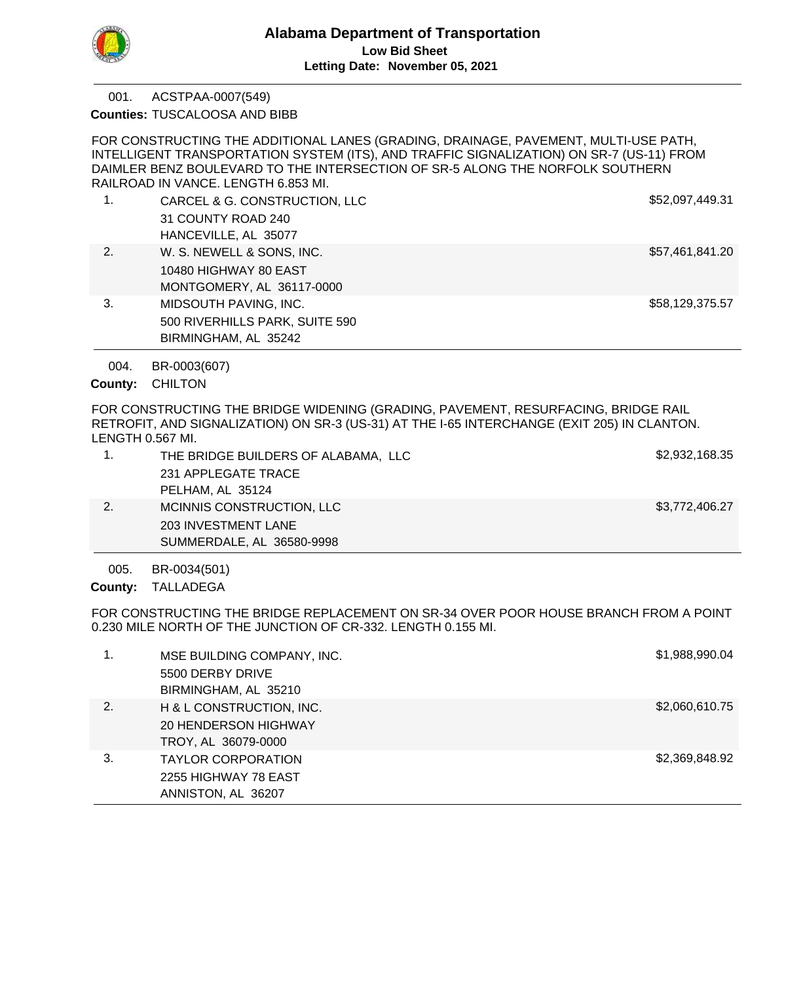

ACSTPAA-0007(549) 001.

**Counties: TUSCALOOSA AND BIBB** 

FOR CONSTRUCTING THE ADDITIONAL LANES (GRADING, DRAINAGE, PAVEMENT, MULTI-USE PATH, INTELLIGENT TRANSPORTATION SYSTEM (ITS), AND TRAFFIC SIGNALIZATION) ON SR-7 (US-11) FROM DAIMLER BENZ BOULEVARD TO THE INTERSECTION OF SR-5 ALONG THE NORFOLK SOUTHERN RAILROAD IN VANCE. LENGTH 6.853 MI.

1. CARCEL & G. CONSTRUCTION, LLC 6. 2008. CARCEL & G. CONSTRUCTION, LLC 31 COUNTY ROAD 240 HANCEVILLE, AL 35077 2. W. S. NEWELL & SONS, INC. **\$57,461,841.20** 10480 HIGHWAY 80 EAST MONTGOMERY, AL 36117-0000 3. MIDSOUTH PAVING, INC. **BEEFING TO A SEXUAL SEXUAL SEXUAL SEXUAL SEXUAL SEXUAL SEXUAL SEXUAL SEXUAL SEXUAL SEXU** 500 RIVERHILLS PARK, SUITE 590 BIRMINGHAM, AL 35242

BR-0003(607) 004.

County: CHILTON

FOR CONSTRUCTING THE BRIDGE WIDENING (GRADING, PAVEMENT, RESURFACING, BRIDGE RAIL RETROFIT, AND SIGNALIZATION) ON SR-3 (US-31) AT THE I-65 INTERCHANGE (EXIT 205) IN CLANTON. LENGTH 0.567 MI.

|    | THE BRIDGE BUILDERS OF ALABAMA, LLC | \$2,932,168.35 |
|----|-------------------------------------|----------------|
|    | 231 APPLEGATE TRACE                 |                |
|    | PELHAM, AL 35124                    |                |
| 2. | MCINNIS CONSTRUCTION, LLC           | \$3,772,406.27 |
|    | <b>203 INVESTMENT LANE</b>          |                |
|    | SUMMERDALE, AL 36580-9998           |                |
|    |                                     |                |

BR-0034(501) 005.

County: TALLADEGA

FOR CONSTRUCTING THE BRIDGE REPLACEMENT ON SR-34 OVER POOR HOUSE BRANCH FROM A POINT 0.230 MILE NORTH OF THE JUNCTION OF CR-332. LENGTH 0.155 MI.

|    | MSE BUILDING COMPANY, INC.<br>5500 DERBY DRIVE<br>BIRMINGHAM, AL 35210         | \$1,988,990.04 |
|----|--------------------------------------------------------------------------------|----------------|
| 2. | H & L CONSTRUCTION, INC.<br><b>20 HENDERSON HIGHWAY</b><br>TROY, AL 36079-0000 | \$2,060,610.75 |
| 3. | <b>TAYLOR CORPORATION</b><br>2255 HIGHWAY 78 EAST<br>ANNISTON, AL 36207        | \$2,369,848.92 |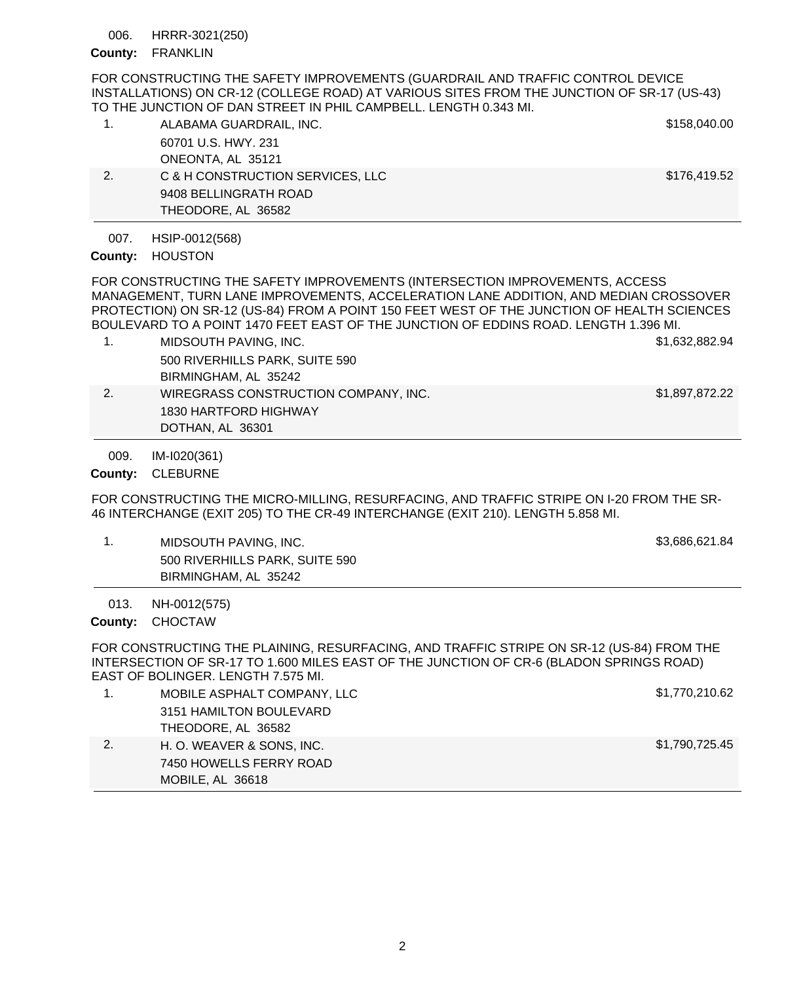HRRR-3021(250) 006.

### County: FRANKLIN

FOR CONSTRUCTING THE SAFETY IMPROVEMENTS (GUARDRAIL AND TRAFFIC CONTROL DEVICE INSTALLATIONS) ON CR-12 (COLLEGE ROAD) AT VARIOUS SITES FROM THE JUNCTION OF SR-17 (US-43) TO THE JUNCTION OF DAN STREET IN PHIL CAMPBELL. LENGTH 0.343 MI.

| 1. | ALABAMA GUARDRAIL, INC.          | \$158,040.00 |
|----|----------------------------------|--------------|
|    | 60701 U.S. HWY, 231              |              |
|    | ONEONTA, AL 35121                |              |
| 2. | C & H CONSTRUCTION SERVICES, LLC | \$176,419.52 |
|    | 9408 BELLINGRATH ROAD            |              |
|    | THEODORE, AL 36582               |              |

HSIP-0012(568) 007.

# County: HOUSTON

FOR CONSTRUCTING THE SAFETY IMPROVEMENTS (INTERSECTION IMPROVEMENTS, ACCESS MANAGEMENT, TURN LANE IMPROVEMENTS, ACCELERATION LANE ADDITION, AND MEDIAN CROSSOVER PROTECTION) ON SR-12 (US-84) FROM A POINT 150 FEET WEST OF THE JUNCTION OF HEALTH SCIENCES BOULEVARD TO A POINT 1470 FEET EAST OF THE JUNCTION OF EDDINS ROAD. LENGTH 1.396 MI.

- 1. MIDSOUTH PAVING, INC. \$1,632,882.94 500 RIVERHILLS PARK, SUITE 590 BIRMINGHAM, AL 35242 2. WIREGRASS CONSTRUCTION COMPANY, INC. \$1,897,872.22
- 1830 HARTFORD HIGHWAY DOTHAN, AL 36301

IM-I020(361) 009.

County: CLEBURNE

FOR CONSTRUCTING THE MICRO-MILLING, RESURFACING, AND TRAFFIC STRIPE ON I-20 FROM THE SR-46 INTERCHANGE (EXIT 205) TO THE CR-49 INTERCHANGE (EXIT 210). LENGTH 5.858 MI.

1. MIDSOUTH PAVING, INC. **\$3,686,621.84** 500 RIVERHILLS PARK, SUITE 590 BIRMINGHAM, AL 35242

NH-0012(575) 013.

County: CHOCTAW

FOR CONSTRUCTING THE PLAINING, RESURFACING, AND TRAFFIC STRIPE ON SR-12 (US-84) FROM THE INTERSECTION OF SR-17 TO 1.600 MILES EAST OF THE JUNCTION OF CR-6 (BLADON SPRINGS ROAD) EAST OF BOLINGER. LENGTH 7.575 MI.

|    | MOBILE ASPHALT COMPANY, LLC | \$1,770,210.62 |
|----|-----------------------------|----------------|
|    | 3151 HAMILTON BOULEVARD     |                |
|    | THEODORE, AL 36582          |                |
| 2. | H. O. WEAVER & SONS, INC.   | \$1,790,725.45 |
|    | 7450 HOWELLS FERRY ROAD     |                |
|    | MOBILE, AL 36618            |                |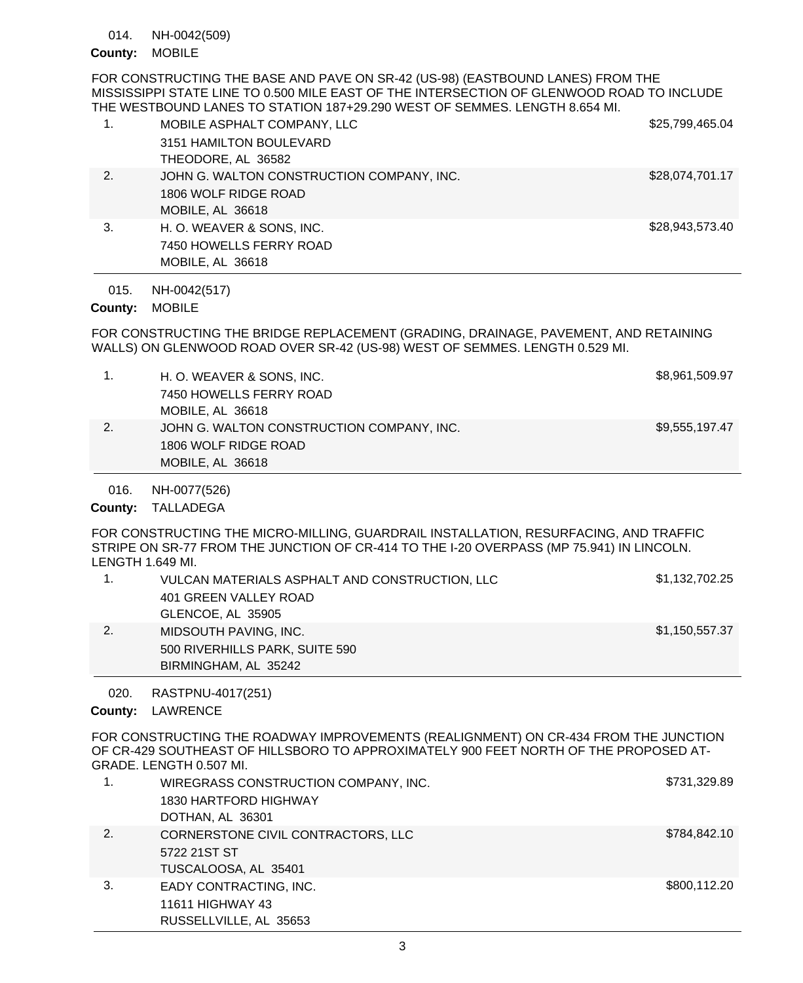NH-0042(509) 014.

# County: MOBILE

FOR CONSTRUCTING THE BASE AND PAVE ON SR-42 (US-98) (EASTBOUND LANES) FROM THE MISSISSIPPI STATE LINE TO 0.500 MILE EAST OF THE INTERSECTION OF GLENWOOD ROAD TO INCLUDE THE WESTBOUND LANES TO STATION 187+29.290 WEST OF SEMMES. LENGTH 8.654 MI.

| 1. | MOBILE ASPHALT COMPANY, LLC               | \$25,799,465.04 |
|----|-------------------------------------------|-----------------|
|    | 3151 HAMILTON BOULEVARD                   |                 |
|    | THEODORE, AL 36582                        |                 |
| 2. | JOHN G. WALTON CONSTRUCTION COMPANY, INC. | \$28,074,701.17 |
|    | 1806 WOLF RIDGE ROAD                      |                 |
|    | MOBILE, AL 36618                          |                 |
| 3. | H. O. WEAVER & SONS, INC.                 | \$28,943,573.40 |
|    | 7450 HOWELLS FERRY ROAD                   |                 |
|    | MOBILE, AL 36618                          |                 |

NH-0042(517) 015.

# County: MOBILE

FOR CONSTRUCTING THE BRIDGE REPLACEMENT (GRADING, DRAINAGE, PAVEMENT, AND RETAINING WALLS) ON GLENWOOD ROAD OVER SR-42 (US-98) WEST OF SEMMES. LENGTH 0.529 MI.

|    | H. O. WEAVER & SONS, INC.                 | \$8,961,509.97 |
|----|-------------------------------------------|----------------|
|    | 7450 HOWELLS FERRY ROAD                   |                |
|    | MOBILE, AL 36618                          |                |
| 2. | JOHN G. WALTON CONSTRUCTION COMPANY, INC. | \$9,555,197.47 |
|    | 1806 WOLF RIDGE ROAD                      |                |
|    | MOBILE, AL 36618                          |                |

NH-0077(526) 016.

County: TALLADEGA

FOR CONSTRUCTING THE MICRO-MILLING, GUARDRAIL INSTALLATION, RESURFACING, AND TRAFFIC STRIPE ON SR-77 FROM THE JUNCTION OF CR-414 TO THE I-20 OVERPASS (MP 75.941) IN LINCOLN. LENGTH 1.649 MI.

|    | VULCAN MATERIALS ASPHALT AND CONSTRUCTION, LLC<br>401 GREEN VALLEY ROAD<br>GLENCOE, AL 35905 | \$1,132,702.25 |
|----|----------------------------------------------------------------------------------------------|----------------|
| 2. | MIDSOUTH PAVING, INC.<br>500 RIVERHILLS PARK, SUITE 590<br>BIRMINGHAM, AL 35242              | \$1,150,557.37 |

RASTPNU-4017(251) 020.

County: LAWRENCE

FOR CONSTRUCTING THE ROADWAY IMPROVEMENTS (REALIGNMENT) ON CR-434 FROM THE JUNCTION OF CR-429 SOUTHEAST OF HILLSBORO TO APPROXIMATELY 900 FEET NORTH OF THE PROPOSED AT-GRADE. LENGTH 0.507 MI.

|    | WIREGRASS CONSTRUCTION COMPANY, INC. | \$731,329.89 |
|----|--------------------------------------|--------------|
|    | 1830 HARTFORD HIGHWAY                |              |
|    | DOTHAN, AL 36301                     |              |
| 2. | CORNERSTONE CIVIL CONTRACTORS, LLC   | \$784,842.10 |
|    | 5722 21ST ST                         |              |
|    | TUSCALOOSA, AL 35401                 |              |
| 3. | EADY CONTRACTING, INC.               | \$800,112.20 |
|    | 11611 HIGHWAY 43                     |              |
|    | RUSSELLVILLE, AL 35653               |              |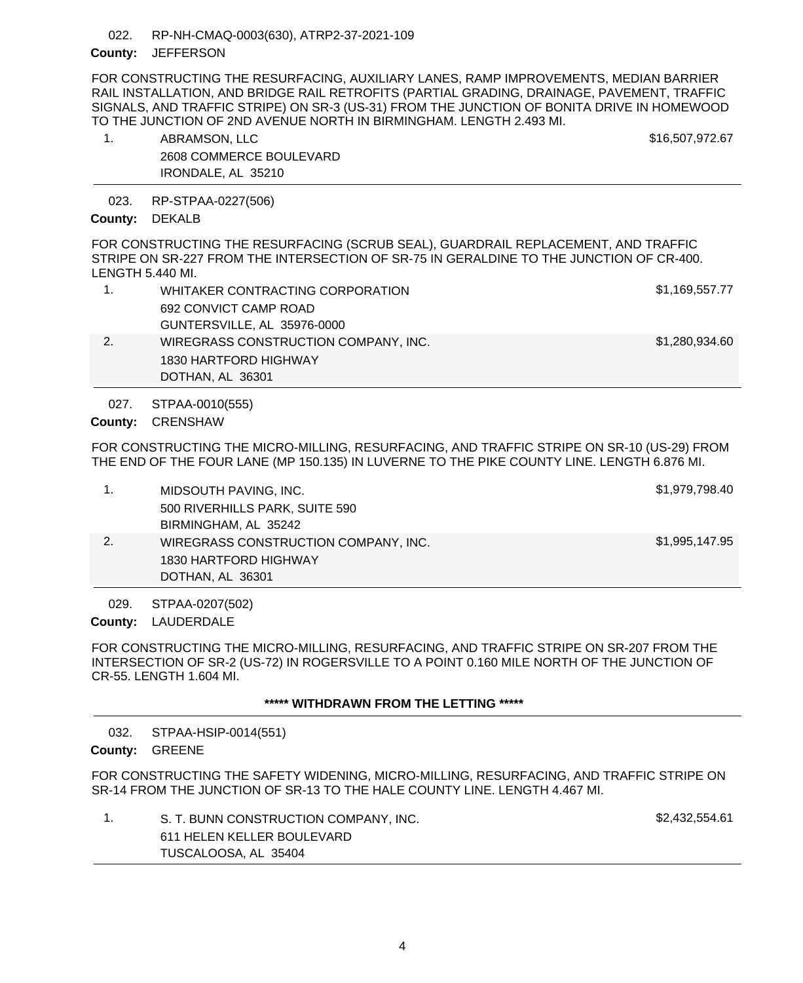#### RP-NH-CMAQ-0003(630), ATRP2-37-2021-109 022.

### County: JEFFERSON

FOR CONSTRUCTING THE RESURFACING, AUXILIARY LANES, RAMP IMPROVEMENTS, MEDIAN BARRIER RAIL INSTALLATION, AND BRIDGE RAIL RETROFITS (PARTIAL GRADING, DRAINAGE, PAVEMENT, TRAFFIC SIGNALS, AND TRAFFIC STRIPE) ON SR-3 (US-31) FROM THE JUNCTION OF BONITA DRIVE IN HOMEWOOD TO THE JUNCTION OF 2ND AVENUE NORTH IN BIRMINGHAM. LENGTH 2.493 MI.

| ABRAMSON, LLC           | \$16,507,972.67 |
|-------------------------|-----------------|
| 2608 COMMERCE BOULEVARD |                 |
| IRONDALE, AL 35210      |                 |

RP-STPAA-0227(506) 023.

### County: DEKALB

FOR CONSTRUCTING THE RESURFACING (SCRUB SEAL), GUARDRAIL REPLACEMENT, AND TRAFFIC STRIPE ON SR-227 FROM THE INTERSECTION OF SR-75 IN GERALDINE TO THE JUNCTION OF CR-400. LENGTH 5.440 MI.

|    | DOTHAN, AL 36301                     |                |
|----|--------------------------------------|----------------|
|    | 1830 HARTFORD HIGHWAY                |                |
| 2. | WIREGRASS CONSTRUCTION COMPANY, INC. | \$1,280,934.60 |
|    | GUNTERSVILLE, AL 35976-0000          |                |
|    | 692 CONVICT CAMP ROAD                |                |
|    | WHITAKER CONTRACTING CORPORATION     | \$1,169,557.77 |
|    |                                      |                |

STPAA-0010(555) 027.

County: **CRENSHAW** 

FOR CONSTRUCTING THE MICRO-MILLING, RESURFACING, AND TRAFFIC STRIPE ON SR-10 (US-29) FROM THE END OF THE FOUR LANE (MP 150.135) IN LUVERNE TO THE PIKE COUNTY LINE. LENGTH 6.876 MI.

|    | MIDSOUTH PAVING, INC.                | \$1,979,798.40 |
|----|--------------------------------------|----------------|
|    | 500 RIVERHILLS PARK, SUITE 590       |                |
|    | BIRMINGHAM, AL 35242                 |                |
| 2. | WIREGRASS CONSTRUCTION COMPANY, INC. | \$1,995,147.95 |
|    | 1830 HARTFORD HIGHWAY                |                |
|    | DOTHAN, AL 36301                     |                |

STPAA-0207(502) 029.

County: LAUDERDALE

FOR CONSTRUCTING THE MICRO-MILLING, RESURFACING, AND TRAFFIC STRIPE ON SR-207 FROM THE INTERSECTION OF SR-2 (US-72) IN ROGERSVILLE TO A POINT 0.160 MILE NORTH OF THE JUNCTION OF CR-55. LENGTH 1.604 MI.

# **\*\*\*\*\* WITHDRAWN FROM THE LETTING \*\*\*\*\***

STPAA-HSIP-0014(551) County: GREENE 032.

FOR CONSTRUCTING THE SAFETY WIDENING, MICRO-MILLING, RESURFACING, AND TRAFFIC STRIPE ON SR-14 FROM THE JUNCTION OF SR-13 TO THE HALE COUNTY LINE. LENGTH 4.467 MI.

| S. T. BUNN CONSTRUCTION COMPANY, INC. | \$2,432,554.61 |
|---------------------------------------|----------------|
| 611 HELEN KELLER BOULEVARD            |                |
| TUSCALOOSA, AL 35404                  |                |